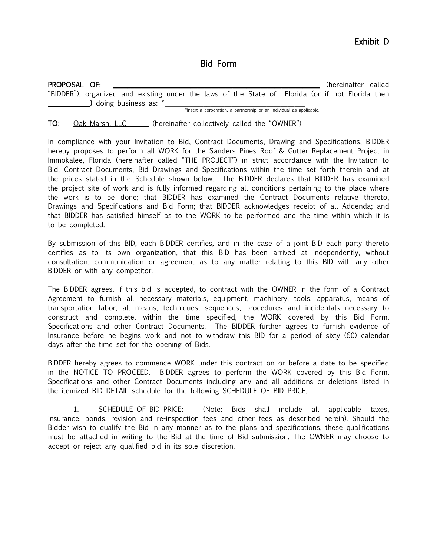# Bid Form

| PROPOSAL OF:                                                                                     |  |                          |  |  |  |                                                                      |  | (hereinafter called |
|--------------------------------------------------------------------------------------------------|--|--------------------------|--|--|--|----------------------------------------------------------------------|--|---------------------|
| "BIDDER"), organized and existing under the laws of the State of Florida (or if not Florida then |  | ) doing business as: $*$ |  |  |  |                                                                      |  |                     |
|                                                                                                  |  |                          |  |  |  | *Insert a corporation, a partnership or an individual as applicable. |  |                     |

### TO: Oak Marsh, LLC (hereinafter collectively called the "OWNER")

In compliance with your Invitation to Bid, Contract Documents, Drawing and Specifications, BIDDER hereby proposes to perform all WORK for the Sanders Pines Roof & Gutter Replacement Project in Immokalee, Florida (hereinafter called "THE PROJECT") in strict accordance with the Invitation to Bid, Contract Documents, Bid Drawings and Specifications within the time set forth therein and at the prices stated in the Schedule shown below. The BIDDER declares that BIDDER has examined the project site of work and is fully informed regarding all conditions pertaining to the place where the work is to be done; that BIDDER has examined the Contract Documents relative thereto, Drawings and Specifications and Bid Form; that BIDDER acknowledges receipt of all Addenda; and that BIDDER has satisfied himself as to the WORK to be performed and the time within which it is to be completed.

By submission of this BID, each BIDDER certifies, and in the case of a joint BID each party thereto certifies as to its own organization, that this BID has been arrived at independently, without consultation, communication or agreement as to any matter relating to this BID with any other BIDDER or with any competitor.

The BIDDER agrees, if this bid is accepted, to contract with the OWNER in the form of a Contract Agreement to furnish all necessary materials, equipment, machinery, tools, apparatus, means of transportation labor, all means, techniques, sequences, procedures and incidentals necessary to construct and complete, within the time specified, the WORK covered by this Bid Form, Specifications and other Contract Documents. The BIDDER further agrees to furnish evidence of Insurance before he begins work and not to withdraw this BID for a period of sixty (60) calendar days after the time set for the opening of Bids.

BIDDER hereby agrees to commence WORK under this contract on or before a date to be specified in the NOTICE TO PROCEED. BIDDER agrees to perform the WORK covered by this Bid Form, Specifications and other Contract Documents including any and all additions or deletions listed in the itemized BID DETAIL schedule for the following SCHEDULE OF BID PRICE.

 1. SCHEDULE OF BID PRICE: (Note: Bids shall include all applicable taxes, insurance, bonds, revision and re-inspection fees and other fees as described herein). Should the Bidder wish to qualify the Bid in any manner as to the plans and specifications, these qualifications must be attached in writing to the Bid at the time of Bid submission. The OWNER may choose to accept or reject any qualified bid in its sole discretion.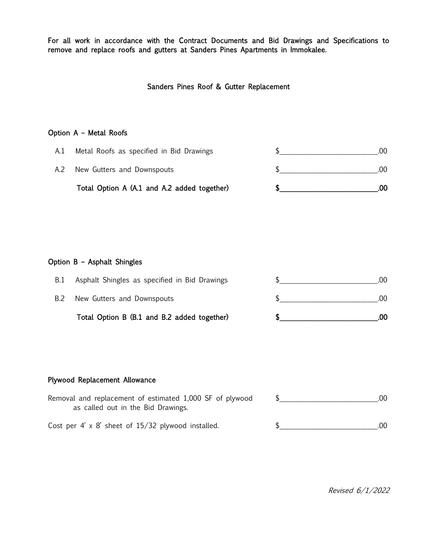For all work in accordance with the Contract Documents and Bid Drawings and Specifications to remove and replace roofs and gutters at Sanders Pines Apartments in Immokalee.

Sanders Pines Roof & Gutter Replacement

## Option A – Metal Roofs

| Total Option A (A.1 and A.2 added together) |     |
|---------------------------------------------|-----|
| New Gutters and Downspouts                  | U   |
| Metal Roofs as specified in Bid Drawings    | .UU |

#### Option B – Asphalt Shingles

|     | Total Option B (B.1 and B.2 added together)   | 00  |
|-----|-----------------------------------------------|-----|
|     | New Gutters and Downspouts                    | .00 |
| B.1 | Asphalt Shingles as specified in Bid Drawings | 00. |

# Plywood Replacement Allowance

| Removal and replacement of estimated 1,000 SF of plywood<br>as called out in the Bid Drawings. | .00 |
|------------------------------------------------------------------------------------------------|-----|
| Cost per 4' $\times$ 8' sheet of 15/32 plywood installed.                                      | .00 |

Revised 6/1/2022